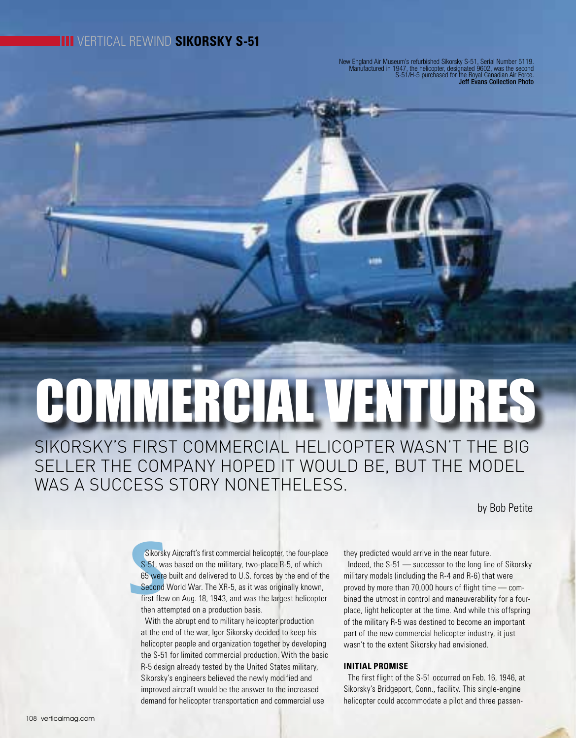# VERTICAL REWIND **SIKORSKY S-51**

New England Air Museum's refurbished Sikorsky S-51, Serial Number 5119. Manufactured in 1947, the helicopter, designated 9602, was the second S-51/H-5 purchased for the Royal Canadian Air Force. Jeff Evans Collection Photo

 $\mathcal{L}$ 

# COMMERCIAL VENTURES

SIKORSKY'S FIRST COMMERCIAL HELICOPTER WASN'T THE BIG SELLER THE COMPANY HOPED IT WOULD BE, BUT THE MODEL WAS A SUCCESS STORY NONETHELESS.

by Bob Petite

Sikorsk<br>S-51, wa<br>65 were<br>Second<br>first flev Sikorsky Aircraft's first commercial helicopter, the four-place S-51, was based on the military, two-place R-5, of which 65 were built and delivered to U.S. forces by the end of the Second World War. The XR-5, as it was originally known, first flew on Aug. 18, 1943, and was the largest helicopter then attempted on a production basis.

With the abrupt end to military helicopter production at the end of the war, Igor Sikorsky decided to keep his helicopter people and organization together by developing the S-51 for limited commercial production. With the basic R-5 design already tested by the United States military, Sikorsky's engineers believed the newly modified and improved aircraft would be the answer to the increased demand for helicopter transportation and commercial use

they predicted would arrive in the near future. Indeed, the S-51 — successor to the long line of Sikorsky military models (including the R-4 and R-6) that were proved by more than 70,000 hours of flight time — combined the utmost in control and maneuverability for a fourplace, light helicopter at the time. And while this offspring of the military R-5 was destined to become an important part of the new commercial helicopter industry, it just wasn't to the extent Sikorsky had envisioned.

## **INITIAL PROMISE**

The first flight of the S-51 occurred on Feb. 16, 1946, at Sikorsky's Bridgeport, Conn., facility. This single-engine helicopter could accommodate a pilot and three passen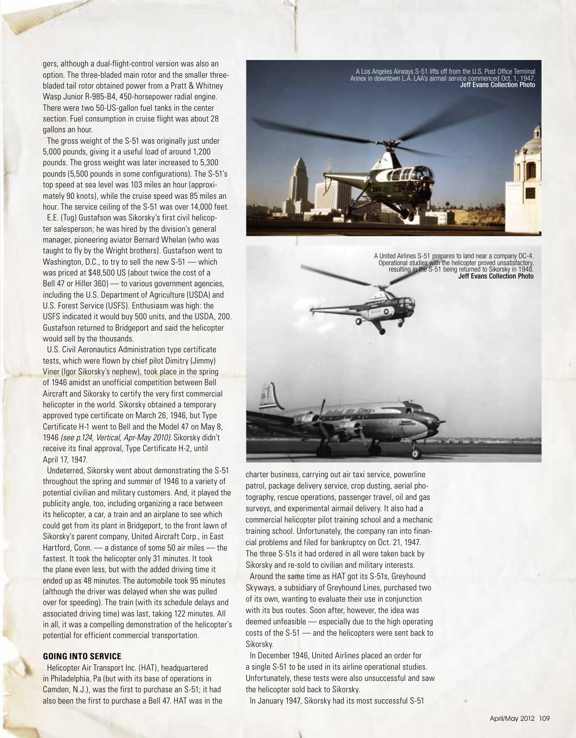gers, although a dual-flight-control version was also an option. The three-bladed main rotor and the smaller threebladed tail rotor obtained power from a Pratt & Whitney Wasp Junior R-985-B4, 450-horsepower radial engine. There were two 50-US-gallon fuel tanks in the center section. Fuel consumption in cruise flight was about 28 gallons an hour.

The gross weight of the S-51 was originally just under 5,000 pounds, giving it a useful load of around 1,200 pounds. The gross weight was later increased to 5,300 pounds (5,500 pounds in some configurations). The S-51's top speed at sea level was 103 miles an hour (approximately 90 knots), while the cruise speed was 85 miles an hour. The service ceiling of the S-51 was over 14,000 feet.

E.E. (Tug) Gustafson was Sikorsky's first civil helicopter salesperson; he was hired by the division's general manager, pioneering aviator Bernard Whelan (who was taught to fly by the Wright brothers). Gustafson went to Washington, D.C., to try to sell the new S-51 — which was priced at \$48,500 US (about twice the cost of a Bell 47 or Hiller 360) — to various government agencies, including the U.S. Department of Agriculture (USDA) and U.S. Forest Service (USFS). Enthusiasm was high: the USFS indicated it would buy 500 units, and the USDA, 200. Gustafson returned to Bridgeport and said the helicopter would sell by the thousands.

U.S. Civil Aeronautics Administration type certificate tests, which were flown by chief pilot Dimitry (Jimmy) Viner (Igor Sikorsky's nephew), took place in the spring of 1946 amidst an unofficial competition between Bell Aircraft and Sikorsky to certify the very first commercial helicopter in the world. Sikorsky obtained a temporary approved type certificate on March 26, 1946, but Type Certificate H-1 went to Bell and the Model 47 on May 8, 1946 *(see p.124, Vertical, Apr-May 2010)*. Sikorsky didn't receive its final approval, Type Certificate H-2, until April 17, 1947.

Undeterred, Sikorsky went about demonstrating the S-51 throughout the spring and summer of 1946 to a variety of potential civilian and military customers. And, it played the publicity angle, too, including organizing a race between its helicopter, a car, a train and an airplane to see which could get from its plant in Bridgeport, to the front lawn of Sikorsky's parent company, United Aircraft Corp., in East Hartford, Conn. — a distance of some 50 air miles — the fastest. It took the helicopter only 31 minutes. It took the plane even less, but with the added driving time it ended up as 48 minutes. The automobile took 95 minutes (although the driver was delayed when she was pulled over for speeding). The train (with its schedule delays and associated driving time) was last, taking 122 minutes. All in all, it was a compelling demonstration of the helicopter's potential for efficient commercial transportation.

### **GOING INTO SERVICE**

Helicopter Air Transport Inc. (HAT), headquartered in Philadelphia, Pa (but with its base of operations in Camden, N.J.), was the first to purchase an S-51; it had also been the first to purchase a Bell 47. HAT was in the



A United Airlines S-51 prepares to land near a company DC-4. Operational studies with the helicopter proved unsatisfactory, resulting in the S-51 being returned to Sikorsky in 1948. Jeff Evans Collection Photo

charter business, carrying out air taxi service, powerline patrol, package delivery service, crop dusting, aerial photography, rescue operations, passenger travel, oil and gas surveys, and experimental airmail delivery. It also had a commercial helicopter pilot training school and a mechanic training school. Unfortunately, the company ran into financial problems and filed for bankruptcy on Oct. 21, 1947. The three S-51s it had ordered in all were taken back by Sikorsky and re-sold to civilian and military interests.

Around the same time as HAT got its S-51s, Greyhound Skyways, a subsidiary of Greyhound Lines, purchased two of its own, wanting to evaluate their use in conjunction with its bus routes. Soon after, however, the idea was deemed unfeasible — especially due to the high operating costs of the S-51 — and the helicopters were sent back to Sikorsky.

In December 1946, United Airlines placed an order for a single S-51 to be used in its airline operational studies. Unfortunately, these tests were also unsuccessful and saw the helicopter sold back to Sikorsky.

In January 1947, Sikorsky had its most successful S-51